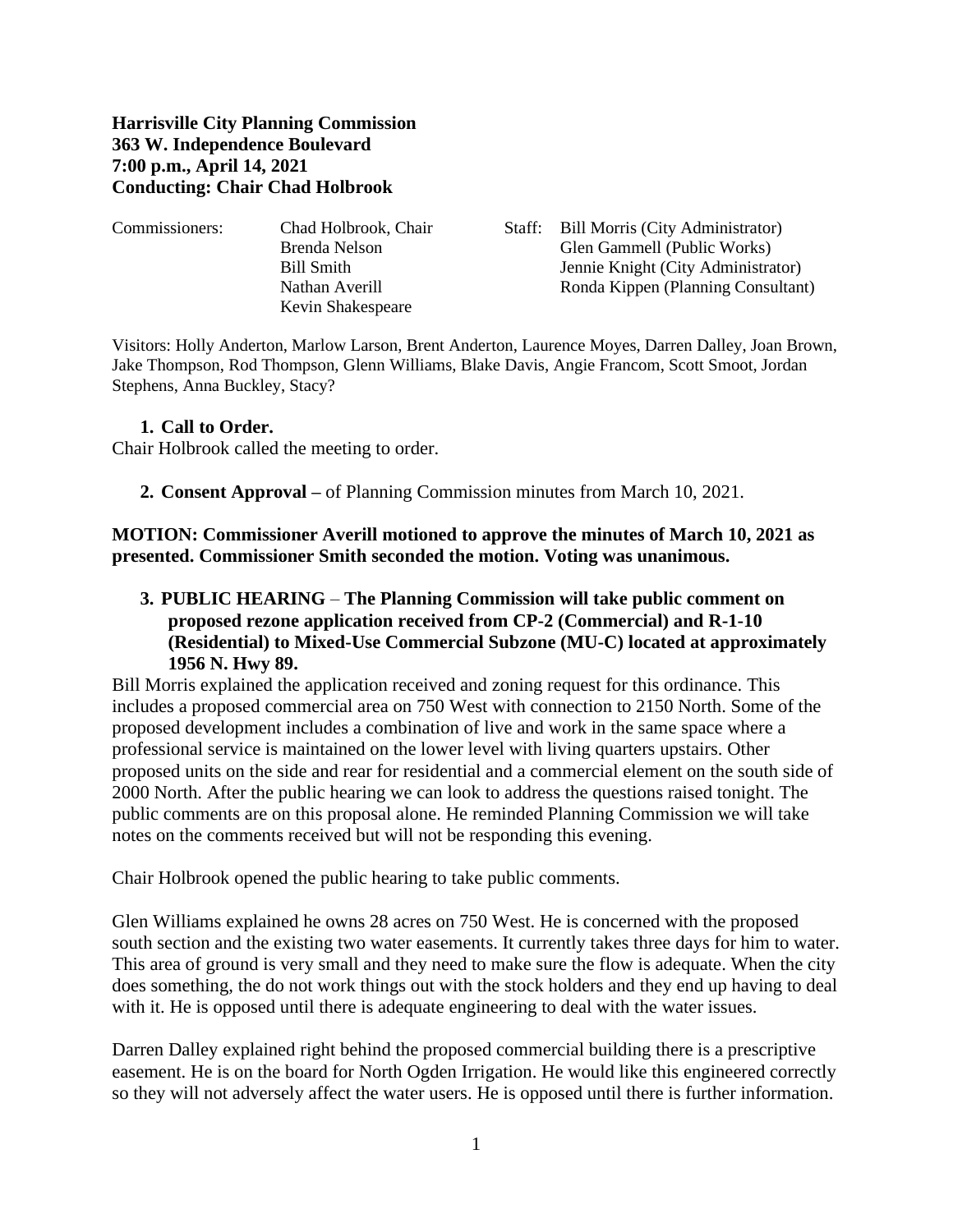## **Harrisville City Planning Commission 363 W. Independence Boulevard 7:00 p.m., April 14, 2021 Conducting: Chair Chad Holbrook**

| Commissioners: | Chad Holbrook, Chair | Staff: Bill Morris (City Administrator) |
|----------------|----------------------|-----------------------------------------|
|                | Brenda Nelson        | Glen Gammell (Public Works)             |
|                | Bill Smith           | Jennie Knight (City Administrator)      |
|                | Nathan Averill       | Ronda Kippen (Planning Consultant)      |
|                | Kevin Shakespeare    |                                         |
|                |                      |                                         |

Visitors: Holly Anderton, Marlow Larson, Brent Anderton, Laurence Moyes, Darren Dalley, Joan Brown, Jake Thompson, Rod Thompson, Glenn Williams, Blake Davis, Angie Francom, Scott Smoot, Jordan Stephens, Anna Buckley, Stacy?

## **1. Call to Order.**

Chair Holbrook called the meeting to order.

**2. Consent Approval –** of Planning Commission minutes from March 10, 2021.

**MOTION: Commissioner Averill motioned to approve the minutes of March 10, 2021 as presented. Commissioner Smith seconded the motion. Voting was unanimous.**

**3. PUBLIC HEARING** – **The Planning Commission will take public comment on proposed rezone application received from CP-2 (Commercial) and R-1-10 (Residential) to Mixed-Use Commercial Subzone (MU-C) located at approximately 1956 N. Hwy 89.**

Bill Morris explained the application received and zoning request for this ordinance. This includes a proposed commercial area on 750 West with connection to 2150 North. Some of the proposed development includes a combination of live and work in the same space where a professional service is maintained on the lower level with living quarters upstairs. Other proposed units on the side and rear for residential and a commercial element on the south side of 2000 North. After the public hearing we can look to address the questions raised tonight. The public comments are on this proposal alone. He reminded Planning Commission we will take notes on the comments received but will not be responding this evening.

Chair Holbrook opened the public hearing to take public comments.

Glen Williams explained he owns 28 acres on 750 West. He is concerned with the proposed south section and the existing two water easements. It currently takes three days for him to water. This area of ground is very small and they need to make sure the flow is adequate. When the city does something, the do not work things out with the stock holders and they end up having to deal with it. He is opposed until there is adequate engineering to deal with the water issues.

Darren Dalley explained right behind the proposed commercial building there is a prescriptive easement. He is on the board for North Ogden Irrigation. He would like this engineered correctly so they will not adversely affect the water users. He is opposed until there is further information.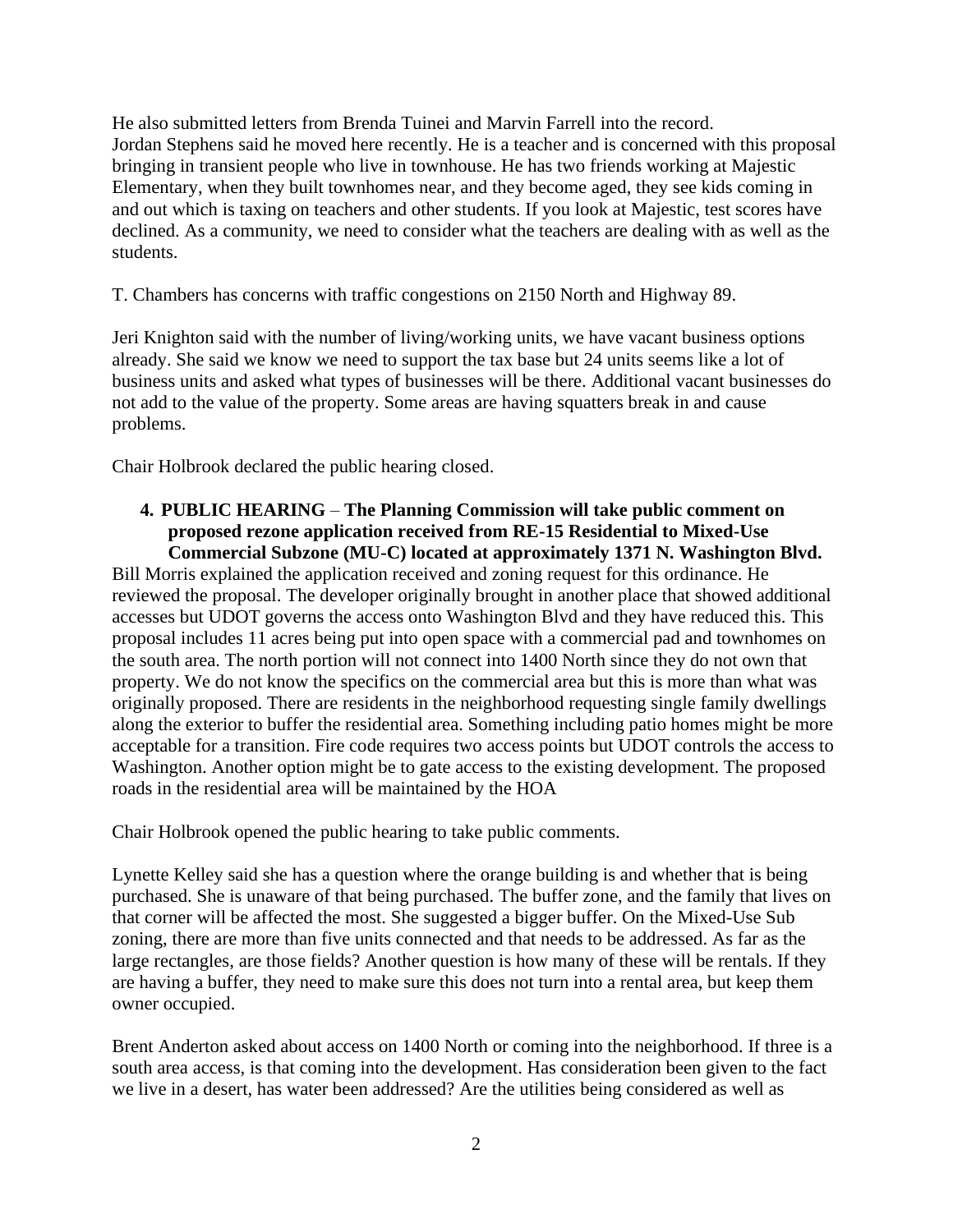He also submitted letters from Brenda Tuinei and Marvin Farrell into the record. Jordan Stephens said he moved here recently. He is a teacher and is concerned with this proposal bringing in transient people who live in townhouse. He has two friends working at Majestic Elementary, when they built townhomes near, and they become aged, they see kids coming in and out which is taxing on teachers and other students. If you look at Majestic, test scores have declined. As a community, we need to consider what the teachers are dealing with as well as the students.

T. Chambers has concerns with traffic congestions on 2150 North and Highway 89.

Jeri Knighton said with the number of living/working units, we have vacant business options already. She said we know we need to support the tax base but 24 units seems like a lot of business units and asked what types of businesses will be there. Additional vacant businesses do not add to the value of the property. Some areas are having squatters break in and cause problems.

Chair Holbrook declared the public hearing closed.

#### **4. PUBLIC HEARING** – **The Planning Commission will take public comment on proposed rezone application received from RE-15 Residential to Mixed-Use Commercial Subzone (MU-C) located at approximately 1371 N. Washington Blvd.**

Bill Morris explained the application received and zoning request for this ordinance. He reviewed the proposal. The developer originally brought in another place that showed additional accesses but UDOT governs the access onto Washington Blvd and they have reduced this. This proposal includes 11 acres being put into open space with a commercial pad and townhomes on the south area. The north portion will not connect into 1400 North since they do not own that property. We do not know the specifics on the commercial area but this is more than what was originally proposed. There are residents in the neighborhood requesting single family dwellings along the exterior to buffer the residential area. Something including patio homes might be more acceptable for a transition. Fire code requires two access points but UDOT controls the access to Washington. Another option might be to gate access to the existing development. The proposed roads in the residential area will be maintained by the HOA

Chair Holbrook opened the public hearing to take public comments.

Lynette Kelley said she has a question where the orange building is and whether that is being purchased. She is unaware of that being purchased. The buffer zone, and the family that lives on that corner will be affected the most. She suggested a bigger buffer. On the Mixed-Use Sub zoning, there are more than five units connected and that needs to be addressed. As far as the large rectangles, are those fields? Another question is how many of these will be rentals. If they are having a buffer, they need to make sure this does not turn into a rental area, but keep them owner occupied.

Brent Anderton asked about access on 1400 North or coming into the neighborhood. If three is a south area access, is that coming into the development. Has consideration been given to the fact we live in a desert, has water been addressed? Are the utilities being considered as well as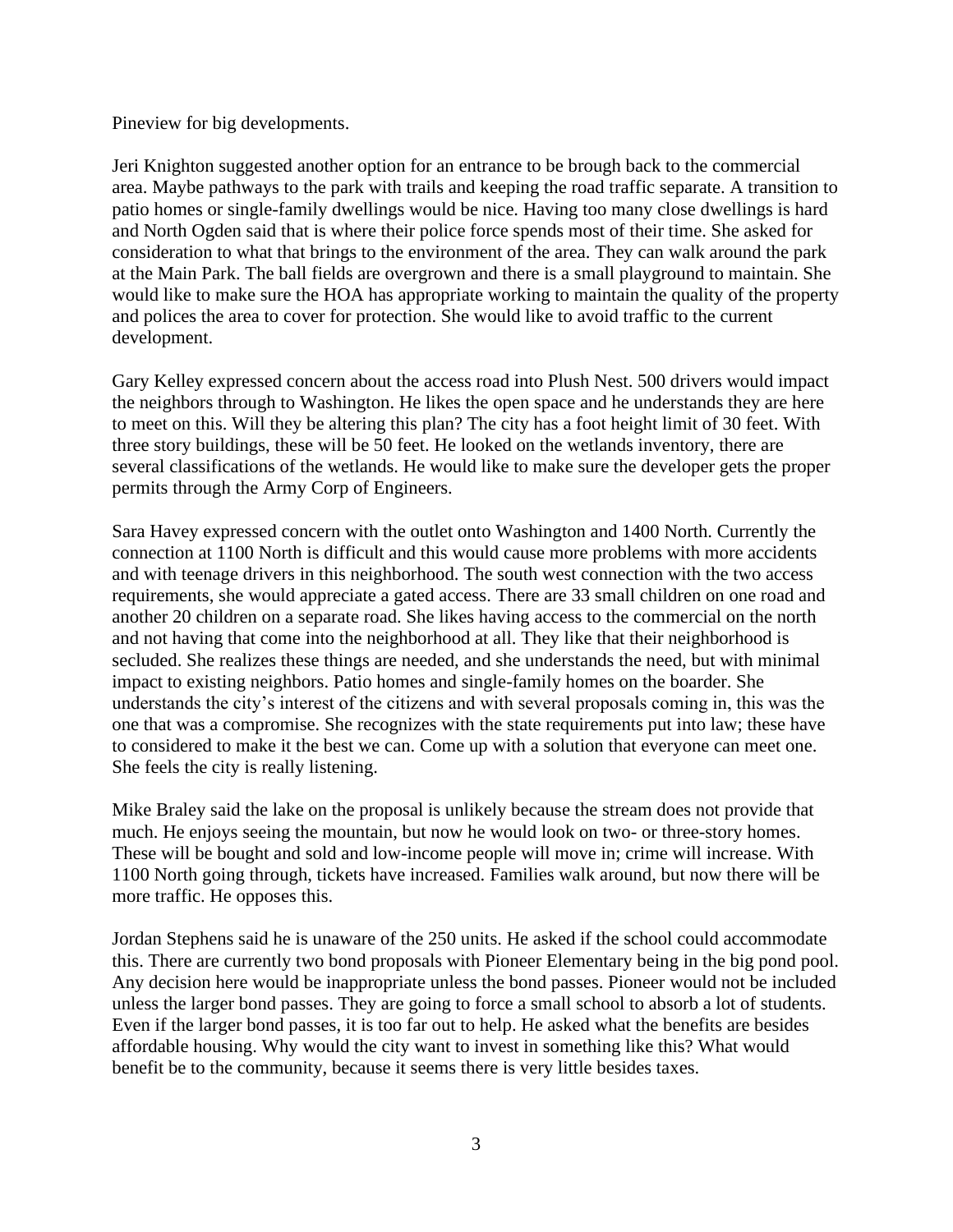Pineview for big developments.

Jeri Knighton suggested another option for an entrance to be brough back to the commercial area. Maybe pathways to the park with trails and keeping the road traffic separate. A transition to patio homes or single-family dwellings would be nice. Having too many close dwellings is hard and North Ogden said that is where their police force spends most of their time. She asked for consideration to what that brings to the environment of the area. They can walk around the park at the Main Park. The ball fields are overgrown and there is a small playground to maintain. She would like to make sure the HOA has appropriate working to maintain the quality of the property and polices the area to cover for protection. She would like to avoid traffic to the current development.

Gary Kelley expressed concern about the access road into Plush Nest. 500 drivers would impact the neighbors through to Washington. He likes the open space and he understands they are here to meet on this. Will they be altering this plan? The city has a foot height limit of 30 feet. With three story buildings, these will be 50 feet. He looked on the wetlands inventory, there are several classifications of the wetlands. He would like to make sure the developer gets the proper permits through the Army Corp of Engineers.

Sara Havey expressed concern with the outlet onto Washington and 1400 North. Currently the connection at 1100 North is difficult and this would cause more problems with more accidents and with teenage drivers in this neighborhood. The south west connection with the two access requirements, she would appreciate a gated access. There are 33 small children on one road and another 20 children on a separate road. She likes having access to the commercial on the north and not having that come into the neighborhood at all. They like that their neighborhood is secluded. She realizes these things are needed, and she understands the need, but with minimal impact to existing neighbors. Patio homes and single-family homes on the boarder. She understands the city's interest of the citizens and with several proposals coming in, this was the one that was a compromise. She recognizes with the state requirements put into law; these have to considered to make it the best we can. Come up with a solution that everyone can meet one. She feels the city is really listening.

Mike Braley said the lake on the proposal is unlikely because the stream does not provide that much. He enjoys seeing the mountain, but now he would look on two- or three-story homes. These will be bought and sold and low-income people will move in; crime will increase. With 1100 North going through, tickets have increased. Families walk around, but now there will be more traffic. He opposes this.

Jordan Stephens said he is unaware of the 250 units. He asked if the school could accommodate this. There are currently two bond proposals with Pioneer Elementary being in the big pond pool. Any decision here would be inappropriate unless the bond passes. Pioneer would not be included unless the larger bond passes. They are going to force a small school to absorb a lot of students. Even if the larger bond passes, it is too far out to help. He asked what the benefits are besides affordable housing. Why would the city want to invest in something like this? What would benefit be to the community, because it seems there is very little besides taxes.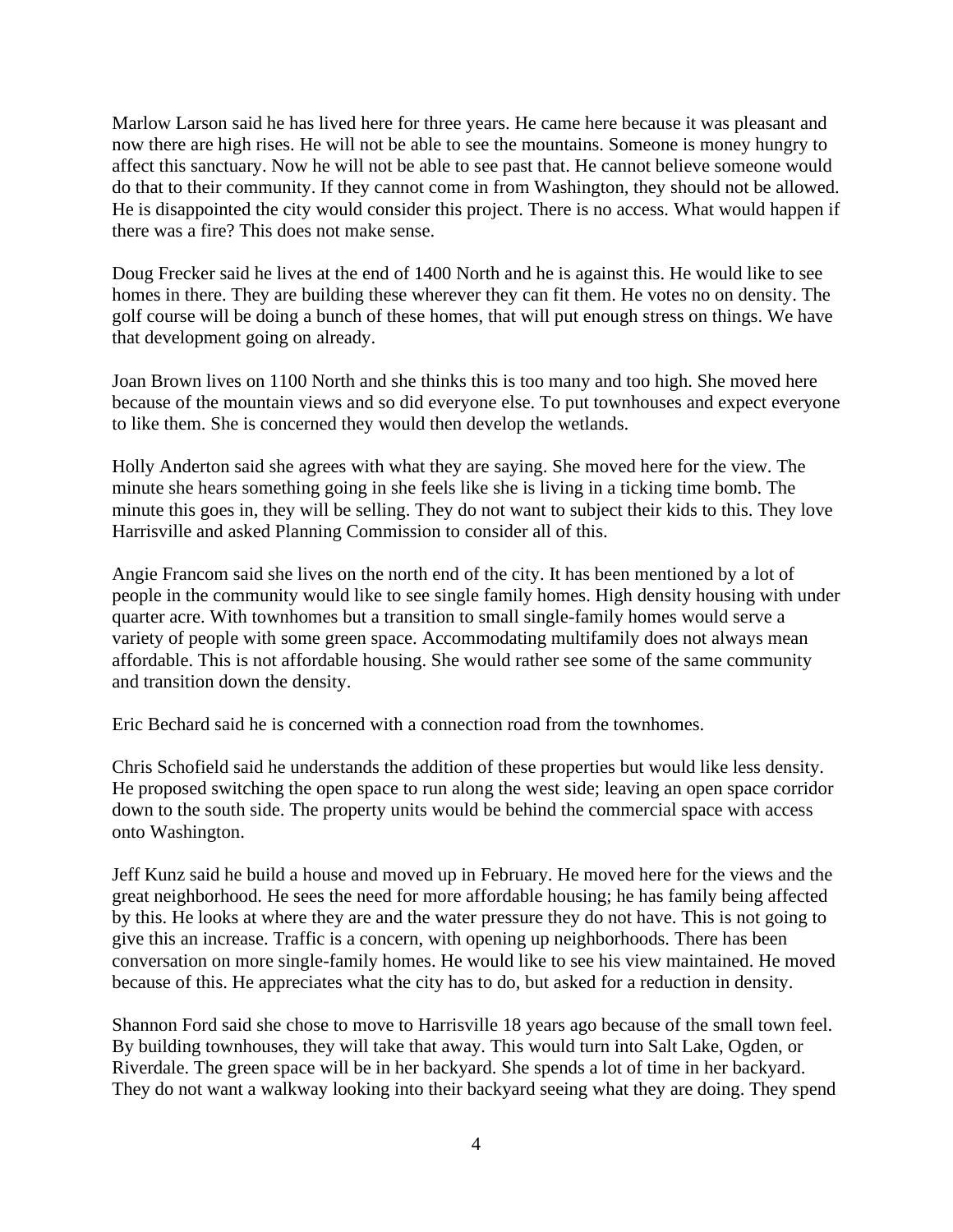Marlow Larson said he has lived here for three years. He came here because it was pleasant and now there are high rises. He will not be able to see the mountains. Someone is money hungry to affect this sanctuary. Now he will not be able to see past that. He cannot believe someone would do that to their community. If they cannot come in from Washington, they should not be allowed. He is disappointed the city would consider this project. There is no access. What would happen if there was a fire? This does not make sense.

Doug Frecker said he lives at the end of 1400 North and he is against this. He would like to see homes in there. They are building these wherever they can fit them. He votes no on density. The golf course will be doing a bunch of these homes, that will put enough stress on things. We have that development going on already.

Joan Brown lives on 1100 North and she thinks this is too many and too high. She moved here because of the mountain views and so did everyone else. To put townhouses and expect everyone to like them. She is concerned they would then develop the wetlands.

Holly Anderton said she agrees with what they are saying. She moved here for the view. The minute she hears something going in she feels like she is living in a ticking time bomb. The minute this goes in, they will be selling. They do not want to subject their kids to this. They love Harrisville and asked Planning Commission to consider all of this.

Angie Francom said she lives on the north end of the city. It has been mentioned by a lot of people in the community would like to see single family homes. High density housing with under quarter acre. With townhomes but a transition to small single-family homes would serve a variety of people with some green space. Accommodating multifamily does not always mean affordable. This is not affordable housing. She would rather see some of the same community and transition down the density.

Eric Bechard said he is concerned with a connection road from the townhomes.

Chris Schofield said he understands the addition of these properties but would like less density. He proposed switching the open space to run along the west side; leaving an open space corridor down to the south side. The property units would be behind the commercial space with access onto Washington.

Jeff Kunz said he build a house and moved up in February. He moved here for the views and the great neighborhood. He sees the need for more affordable housing; he has family being affected by this. He looks at where they are and the water pressure they do not have. This is not going to give this an increase. Traffic is a concern, with opening up neighborhoods. There has been conversation on more single-family homes. He would like to see his view maintained. He moved because of this. He appreciates what the city has to do, but asked for a reduction in density.

Shannon Ford said she chose to move to Harrisville 18 years ago because of the small town feel. By building townhouses, they will take that away. This would turn into Salt Lake, Ogden, or Riverdale. The green space will be in her backyard. She spends a lot of time in her backyard. They do not want a walkway looking into their backyard seeing what they are doing. They spend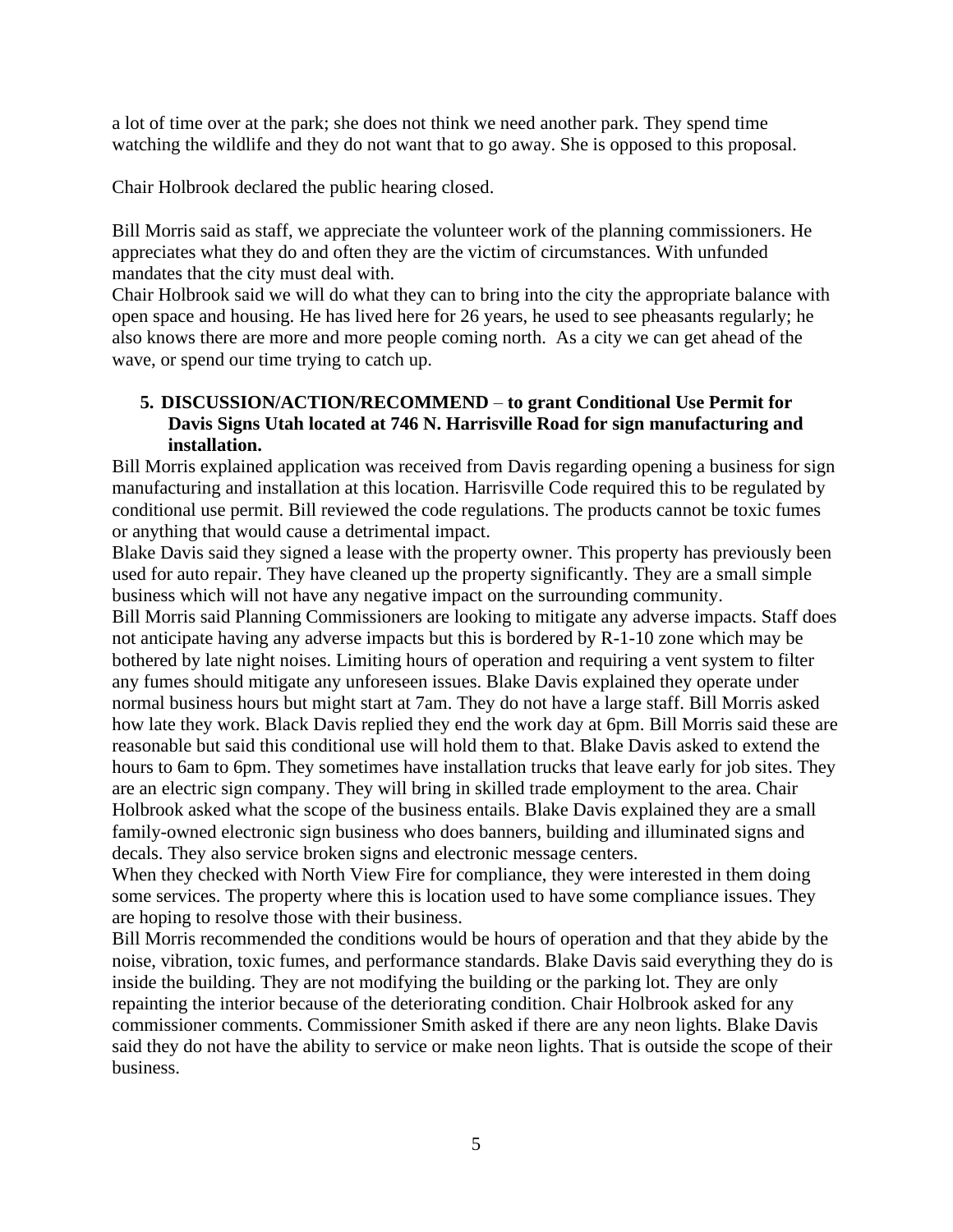a lot of time over at the park; she does not think we need another park. They spend time watching the wildlife and they do not want that to go away. She is opposed to this proposal.

Chair Holbrook declared the public hearing closed.

Bill Morris said as staff, we appreciate the volunteer work of the planning commissioners. He appreciates what they do and often they are the victim of circumstances. With unfunded mandates that the city must deal with.

Chair Holbrook said we will do what they can to bring into the city the appropriate balance with open space and housing. He has lived here for 26 years, he used to see pheasants regularly; he also knows there are more and more people coming north. As a city we can get ahead of the wave, or spend our time trying to catch up.

# **5. DISCUSSION/ACTION/RECOMMEND** – **to grant Conditional Use Permit for Davis Signs Utah located at 746 N. Harrisville Road for sign manufacturing and installation.**

Bill Morris explained application was received from Davis regarding opening a business for sign manufacturing and installation at this location. Harrisville Code required this to be regulated by conditional use permit. Bill reviewed the code regulations. The products cannot be toxic fumes or anything that would cause a detrimental impact.

Blake Davis said they signed a lease with the property owner. This property has previously been used for auto repair. They have cleaned up the property significantly. They are a small simple business which will not have any negative impact on the surrounding community.

Bill Morris said Planning Commissioners are looking to mitigate any adverse impacts. Staff does not anticipate having any adverse impacts but this is bordered by R-1-10 zone which may be bothered by late night noises. Limiting hours of operation and requiring a vent system to filter any fumes should mitigate any unforeseen issues. Blake Davis explained they operate under normal business hours but might start at 7am. They do not have a large staff. Bill Morris asked how late they work. Black Davis replied they end the work day at 6pm. Bill Morris said these are reasonable but said this conditional use will hold them to that. Blake Davis asked to extend the hours to 6am to 6pm. They sometimes have installation trucks that leave early for job sites. They are an electric sign company. They will bring in skilled trade employment to the area. Chair Holbrook asked what the scope of the business entails. Blake Davis explained they are a small family-owned electronic sign business who does banners, building and illuminated signs and decals. They also service broken signs and electronic message centers.

When they checked with North View Fire for compliance, they were interested in them doing some services. The property where this is location used to have some compliance issues. They are hoping to resolve those with their business.

Bill Morris recommended the conditions would be hours of operation and that they abide by the noise, vibration, toxic fumes, and performance standards. Blake Davis said everything they do is inside the building. They are not modifying the building or the parking lot. They are only repainting the interior because of the deteriorating condition. Chair Holbrook asked for any commissioner comments. Commissioner Smith asked if there are any neon lights. Blake Davis said they do not have the ability to service or make neon lights. That is outside the scope of their business.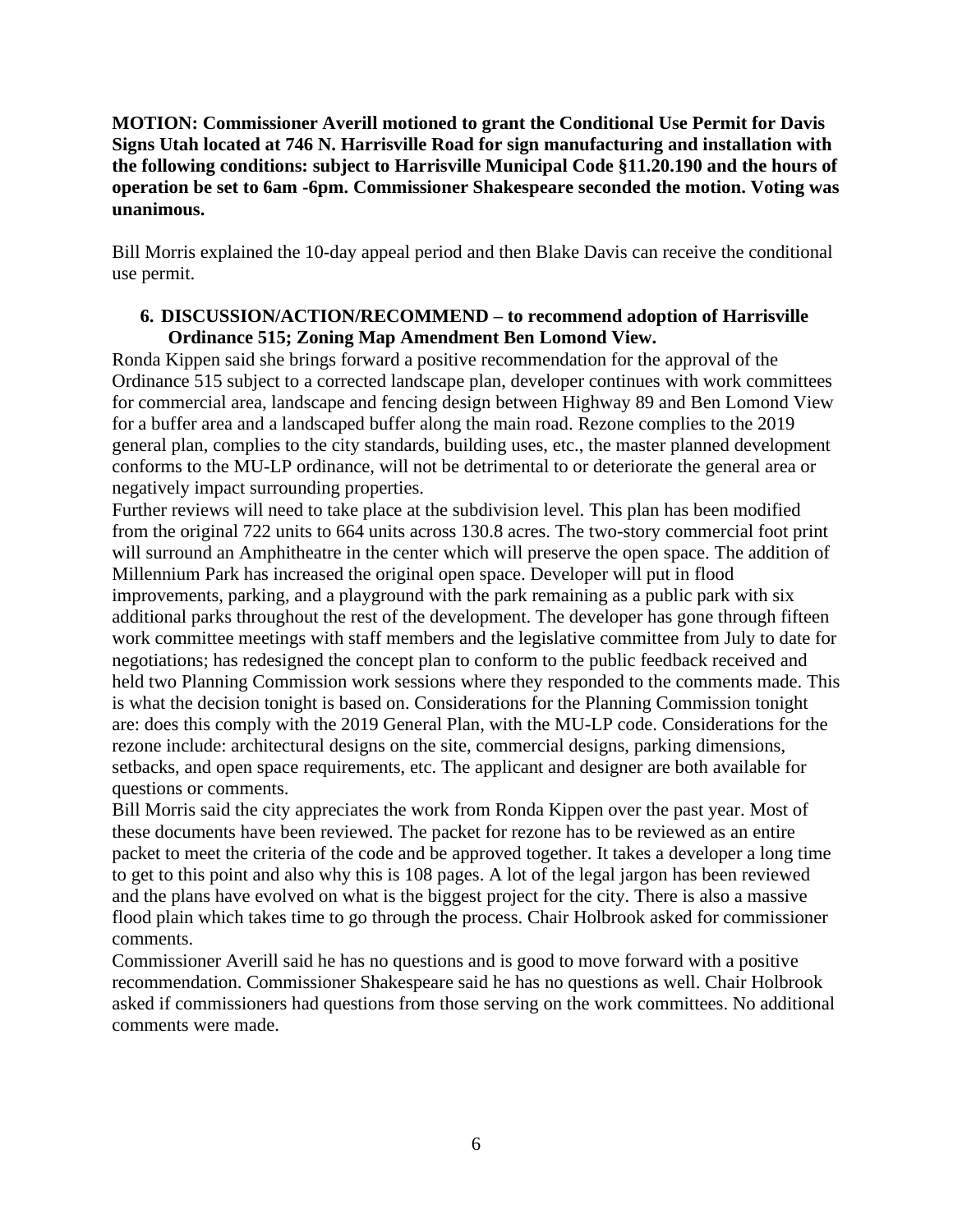## **MOTION: Commissioner Averill motioned to grant the Conditional Use Permit for Davis Signs Utah located at 746 N. Harrisville Road for sign manufacturing and installation with the following conditions: subject to Harrisville Municipal Code §11.20.190 and the hours of operation be set to 6am -6pm. Commissioner Shakespeare seconded the motion. Voting was unanimous.**

Bill Morris explained the 10-day appeal period and then Blake Davis can receive the conditional use permit.

## **6. DISCUSSION/ACTION/RECOMMEND – to recommend adoption of Harrisville Ordinance 515; Zoning Map Amendment Ben Lomond View.**

Ronda Kippen said she brings forward a positive recommendation for the approval of the Ordinance 515 subject to a corrected landscape plan, developer continues with work committees for commercial area, landscape and fencing design between Highway 89 and Ben Lomond View for a buffer area and a landscaped buffer along the main road. Rezone complies to the 2019 general plan, complies to the city standards, building uses, etc., the master planned development conforms to the MU-LP ordinance, will not be detrimental to or deteriorate the general area or negatively impact surrounding properties.

Further reviews will need to take place at the subdivision level. This plan has been modified from the original 722 units to 664 units across 130.8 acres. The two-story commercial foot print will surround an Amphitheatre in the center which will preserve the open space. The addition of Millennium Park has increased the original open space. Developer will put in flood improvements, parking, and a playground with the park remaining as a public park with six additional parks throughout the rest of the development. The developer has gone through fifteen work committee meetings with staff members and the legislative committee from July to date for negotiations; has redesigned the concept plan to conform to the public feedback received and held two Planning Commission work sessions where they responded to the comments made. This is what the decision tonight is based on. Considerations for the Planning Commission tonight are: does this comply with the 2019 General Plan, with the MU-LP code. Considerations for the rezone include: architectural designs on the site, commercial designs, parking dimensions, setbacks, and open space requirements, etc. The applicant and designer are both available for questions or comments.

Bill Morris said the city appreciates the work from Ronda Kippen over the past year. Most of these documents have been reviewed. The packet for rezone has to be reviewed as an entire packet to meet the criteria of the code and be approved together. It takes a developer a long time to get to this point and also why this is 108 pages. A lot of the legal jargon has been reviewed and the plans have evolved on what is the biggest project for the city. There is also a massive flood plain which takes time to go through the process. Chair Holbrook asked for commissioner comments.

Commissioner Averill said he has no questions and is good to move forward with a positive recommendation. Commissioner Shakespeare said he has no questions as well. Chair Holbrook asked if commissioners had questions from those serving on the work committees. No additional comments were made.